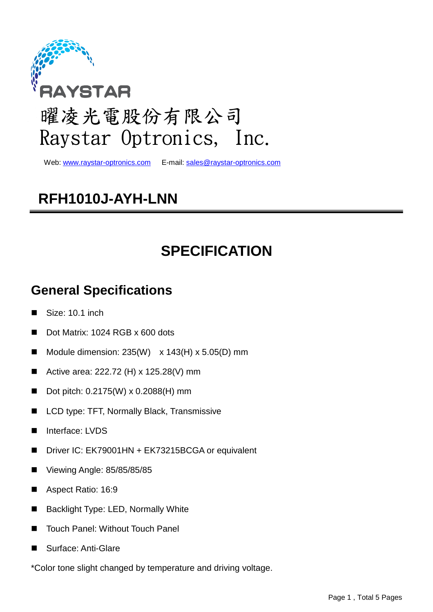

Web: www.raystar-optronics.com E-mail: sales@raystar-optronics.com

## **RFH1010J-AYH-LNN**

## **SPECIFICATION**

## **General Specifications**

- Size: 10.1 inch
- Dot Matrix: 1024 RGB x 600 dots
- Module dimension:  $235(W) \times 143(H) \times 5.05(D)$  mm
- Active area: 222.72 (H) x 125.28(V) mm
- Dot pitch: 0.2175(W) x 0.2088(H) mm
- LCD type: TFT, Normally Black, Transmissive
- Interface: LVDS
- Driver IC: EK79001HN + EK73215BCGA or equivalent
- Viewing Angle: 85/85/85/85
- Aspect Ratio: 16:9
- Backlight Type: LED, Normally White
- Touch Panel: Without Touch Panel
- Surface: Anti-Glare
- \*Color tone slight changed by temperature and driving voltage.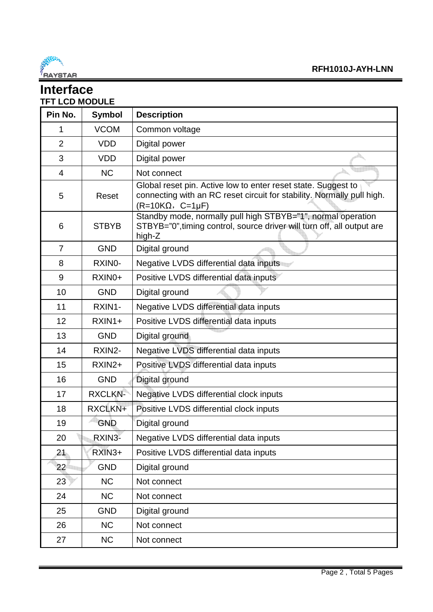

#### **Interface TFT LCD MODULE**

| Pin No.        | <b>Symbol</b>  | <b>Description</b>                                                                                                                                                   |  |  |  |  |
|----------------|----------------|----------------------------------------------------------------------------------------------------------------------------------------------------------------------|--|--|--|--|
| 1              | <b>VCOM</b>    | Common voltage                                                                                                                                                       |  |  |  |  |
| $\overline{2}$ | <b>VDD</b>     | Digital power                                                                                                                                                        |  |  |  |  |
| 3              | <b>VDD</b>     | Digital power                                                                                                                                                        |  |  |  |  |
| 4              | <b>NC</b>      | Not connect                                                                                                                                                          |  |  |  |  |
| 5              | Reset          | Global reset pin. Active low to enter reset state. Suggest to<br>connecting with an RC reset circuit for stability. Normally pull high.<br>$(R=10K\Omega, C=1\mu F)$ |  |  |  |  |
| 6              | <b>STBYB</b>   | Standby mode, normally pull high STBYB="1", normal operation<br>STBYB="0", timing control, source driver will turn off, all output are<br>high-Z                     |  |  |  |  |
| $\overline{7}$ | <b>GND</b>     | Digital ground                                                                                                                                                       |  |  |  |  |
| 8              | RXINO-         | Negative LVDS differential data inputs                                                                                                                               |  |  |  |  |
| 9              | RXIN0+         | Positive LVDS differential data inputs                                                                                                                               |  |  |  |  |
| 10             | <b>GND</b>     | Digital ground                                                                                                                                                       |  |  |  |  |
| 11             | RXIN1-         | Negative LVDS differential data inputs                                                                                                                               |  |  |  |  |
| 12             | RXIN1+         | Positive LVDS differential data inputs                                                                                                                               |  |  |  |  |
| 13             | <b>GND</b>     | Digital ground                                                                                                                                                       |  |  |  |  |
| 14             | RXIN2-         | Negative LVDS differential data inputs                                                                                                                               |  |  |  |  |
| 15             | RXIN2+         | Positive LVDS differential data inputs                                                                                                                               |  |  |  |  |
| 16             | <b>GND</b>     | Digital ground                                                                                                                                                       |  |  |  |  |
| 17             | <b>RXCLKN-</b> | Negative LVDS differential clock inputs                                                                                                                              |  |  |  |  |
| 18             | RXCLKN+        | Positive LVDS differential clock inputs                                                                                                                              |  |  |  |  |
| 19             | <b>GND</b>     | Digital ground                                                                                                                                                       |  |  |  |  |
| 20             | RXIN3-         | Negative LVDS differential data inputs                                                                                                                               |  |  |  |  |
| 21             | RXIN3+         | Positive LVDS differential data inputs                                                                                                                               |  |  |  |  |
| 22             | <b>GND</b>     | Digital ground                                                                                                                                                       |  |  |  |  |
| 23             | <b>NC</b>      | Not connect                                                                                                                                                          |  |  |  |  |
| 24             | <b>NC</b>      | Not connect                                                                                                                                                          |  |  |  |  |
| 25             | <b>GND</b>     | Digital ground                                                                                                                                                       |  |  |  |  |
| 26             | <b>NC</b>      | Not connect                                                                                                                                                          |  |  |  |  |
| 27             | <b>NC</b>      | Not connect                                                                                                                                                          |  |  |  |  |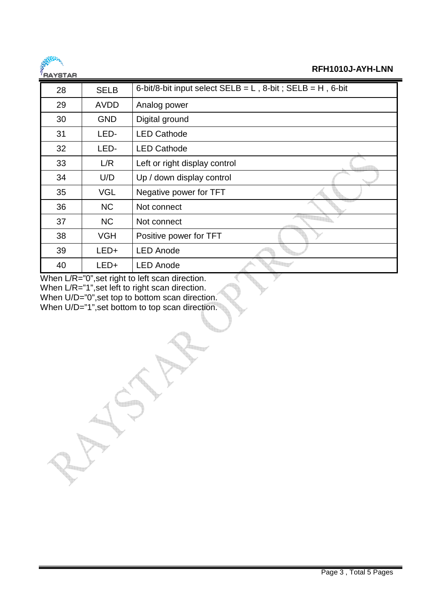

#### **RFH1010J-AYH-LNN**

| 28 | <b>SELB</b> | 6-bit/8-bit input select $SELB = L$ , 8-bit; $SELB = H$ , 6-bit |
|----|-------------|-----------------------------------------------------------------|
| 29 | <b>AVDD</b> | Analog power                                                    |
| 30 | <b>GND</b>  | Digital ground                                                  |
| 31 | LED-        | <b>LED Cathode</b>                                              |
| 32 | LED-        | <b>LED Cathode</b>                                              |
| 33 | L/R         | Left or right display control                                   |
| 34 | U/D         | Up / down display control                                       |
| 35 | <b>VGL</b>  | Negative power for TFT                                          |
| 36 | <b>NC</b>   | Not connect                                                     |
| 37 | <b>NC</b>   | Not connect                                                     |
| 38 | <b>VGH</b>  | Positive power for TFT                                          |
| 39 | $LED+$      | <b>LED Anode</b>                                                |
| 40 | LED+        | <b>LED Anode</b>                                                |

When L/R="0",set right to left scan direction. When L/R="1",set left to right scan direction. When U/D="0", set top to bottom scan direction. When U/D="1", set bottom to top scan direction.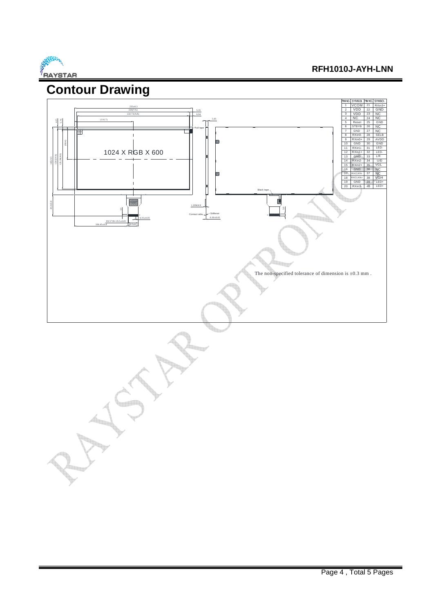

#### **RFH1010J-AYH-LNN**